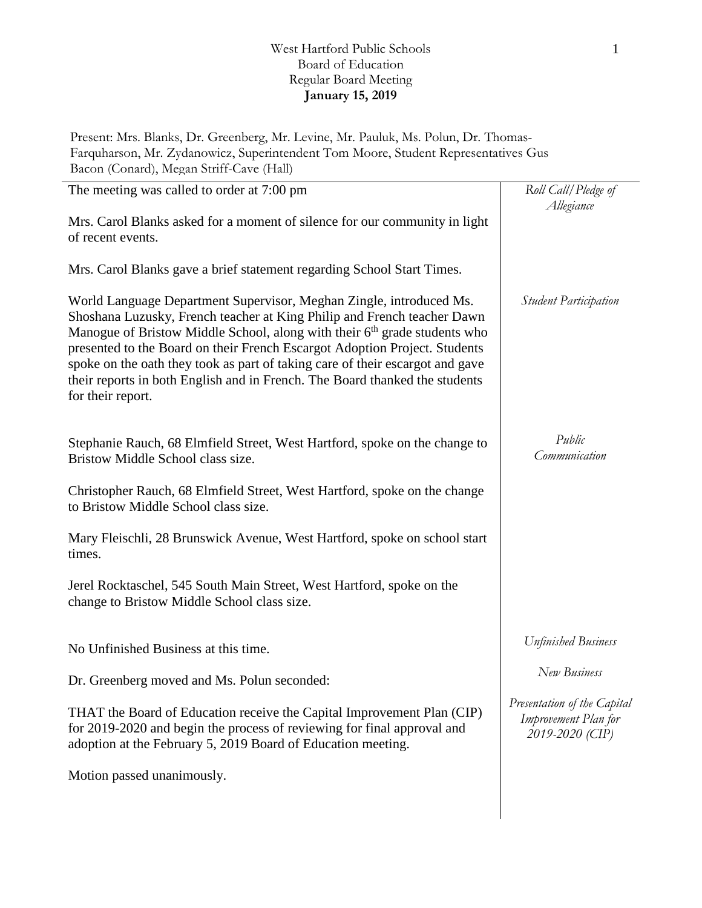## West Hartford Public Schools Board of Education Regular Board Meeting **January 15, 2019**

Present: Mrs. Blanks, Dr. Greenberg, Mr. Levine, Mr. Pauluk, Ms. Polun, Dr. Thomas-Farquharson, Mr. Zydanowicz, Superintendent Tom Moore, Student Representatives Gus Bacon (Conard), Megan Striff-Cave (Hall)

| The meeting was called to order at 7:00 pm                                                                                                                                                                                                                                                                                                                                                                                                                                                                 | Roll Call/Pledge of<br>Allegiance                                      |
|------------------------------------------------------------------------------------------------------------------------------------------------------------------------------------------------------------------------------------------------------------------------------------------------------------------------------------------------------------------------------------------------------------------------------------------------------------------------------------------------------------|------------------------------------------------------------------------|
| Mrs. Carol Blanks asked for a moment of silence for our community in light<br>of recent events.                                                                                                                                                                                                                                                                                                                                                                                                            |                                                                        |
| Mrs. Carol Blanks gave a brief statement regarding School Start Times.                                                                                                                                                                                                                                                                                                                                                                                                                                     |                                                                        |
| World Language Department Supervisor, Meghan Zingle, introduced Ms.<br>Shoshana Luzusky, French teacher at King Philip and French teacher Dawn<br>Manogue of Bristow Middle School, along with their 6 <sup>th</sup> grade students who<br>presented to the Board on their French Escargot Adoption Project. Students<br>spoke on the oath they took as part of taking care of their escargot and gave<br>their reports in both English and in French. The Board thanked the students<br>for their report. | <b>Student Participation</b>                                           |
| Stephanie Rauch, 68 Elmfield Street, West Hartford, spoke on the change to<br>Bristow Middle School class size.                                                                                                                                                                                                                                                                                                                                                                                            | Public<br>Communication                                                |
| Christopher Rauch, 68 Elmfield Street, West Hartford, spoke on the change<br>to Bristow Middle School class size.                                                                                                                                                                                                                                                                                                                                                                                          |                                                                        |
| Mary Fleischli, 28 Brunswick Avenue, West Hartford, spoke on school start<br>times.                                                                                                                                                                                                                                                                                                                                                                                                                        |                                                                        |
| Jerel Rocktaschel, 545 South Main Street, West Hartford, spoke on the<br>change to Bristow Middle School class size.                                                                                                                                                                                                                                                                                                                                                                                       |                                                                        |
| No Unfinished Business at this time.                                                                                                                                                                                                                                                                                                                                                                                                                                                                       | <b>Unfinished Business</b>                                             |
| Dr. Greenberg moved and Ms. Polun seconded:                                                                                                                                                                                                                                                                                                                                                                                                                                                                | New Business                                                           |
| THAT the Board of Education receive the Capital Improvement Plan (CIP)<br>for 2019-2020 and begin the process of reviewing for final approval and<br>adoption at the February 5, 2019 Board of Education meeting.                                                                                                                                                                                                                                                                                          | Presentation of the Capital<br>Improvement Plan for<br>2019-2020 (CIP) |
| Motion passed unanimously.                                                                                                                                                                                                                                                                                                                                                                                                                                                                                 |                                                                        |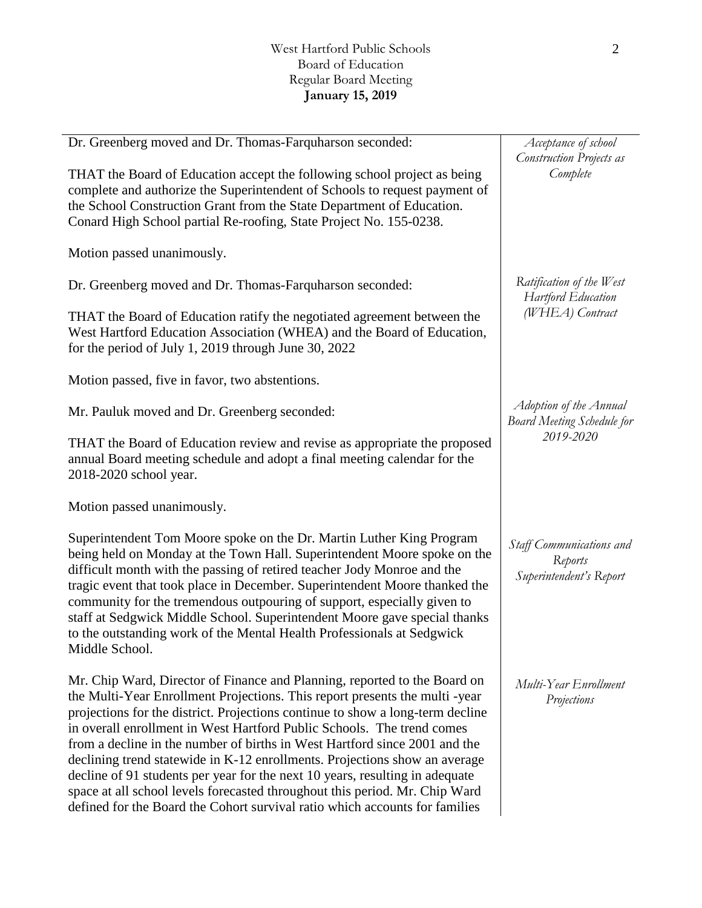| Dr. Greenberg moved and Dr. Thomas-Farquharson seconded:                                                                                                                                                                                                                                                                                                                                                                                                                                                                                                                                                                                                                                                                      | Acceptance of school<br><b>Construction Projects as</b><br>Complete      |
|-------------------------------------------------------------------------------------------------------------------------------------------------------------------------------------------------------------------------------------------------------------------------------------------------------------------------------------------------------------------------------------------------------------------------------------------------------------------------------------------------------------------------------------------------------------------------------------------------------------------------------------------------------------------------------------------------------------------------------|--------------------------------------------------------------------------|
| THAT the Board of Education accept the following school project as being<br>complete and authorize the Superintendent of Schools to request payment of<br>the School Construction Grant from the State Department of Education.<br>Conard High School partial Re-roofing, State Project No. 155-0238.                                                                                                                                                                                                                                                                                                                                                                                                                         |                                                                          |
| Motion passed unanimously.                                                                                                                                                                                                                                                                                                                                                                                                                                                                                                                                                                                                                                                                                                    |                                                                          |
| Dr. Greenberg moved and Dr. Thomas-Farquharson seconded:                                                                                                                                                                                                                                                                                                                                                                                                                                                                                                                                                                                                                                                                      | Ratification of the West<br>Hartford Education<br>(WHEA) Contract        |
| THAT the Board of Education ratify the negotiated agreement between the<br>West Hartford Education Association (WHEA) and the Board of Education,<br>for the period of July 1, 2019 through June 30, 2022                                                                                                                                                                                                                                                                                                                                                                                                                                                                                                                     |                                                                          |
| Motion passed, five in favor, two abstentions.                                                                                                                                                                                                                                                                                                                                                                                                                                                                                                                                                                                                                                                                                |                                                                          |
| Mr. Pauluk moved and Dr. Greenberg seconded:                                                                                                                                                                                                                                                                                                                                                                                                                                                                                                                                                                                                                                                                                  | Adoption of the Annual<br><b>Board Meeting Schedule for</b><br>2019-2020 |
| THAT the Board of Education review and revise as appropriate the proposed<br>annual Board meeting schedule and adopt a final meeting calendar for the<br>2018-2020 school year.                                                                                                                                                                                                                                                                                                                                                                                                                                                                                                                                               |                                                                          |
| Motion passed unanimously.                                                                                                                                                                                                                                                                                                                                                                                                                                                                                                                                                                                                                                                                                                    |                                                                          |
| Superintendent Tom Moore spoke on the Dr. Martin Luther King Program<br>being held on Monday at the Town Hall. Superintendent Moore spoke on the<br>difficult month with the passing of retired teacher Jody Monroe and the<br>tragic event that took place in December. Superintendent Moore thanked the<br>community for the tremendous outpouring of support, especially given to<br>staff at Sedgwick Middle School. Superintendent Moore gave special thanks<br>to the outstanding work of the Mental Health Professionals at Sedgwick<br>Middle School.                                                                                                                                                                 | <b>Staff Communications and</b><br>Reports<br>Superintendent's Report    |
| Mr. Chip Ward, Director of Finance and Planning, reported to the Board on<br>the Multi-Year Enrollment Projections. This report presents the multi-year<br>projections for the district. Projections continue to show a long-term decline<br>in overall enrollment in West Hartford Public Schools. The trend comes<br>from a decline in the number of births in West Hartford since 2001 and the<br>declining trend statewide in K-12 enrollments. Projections show an average<br>decline of 91 students per year for the next 10 years, resulting in adequate<br>space at all school levels forecasted throughout this period. Mr. Chip Ward<br>defined for the Board the Cohort survival ratio which accounts for families | Multi-Year Enrollment<br>Projections                                     |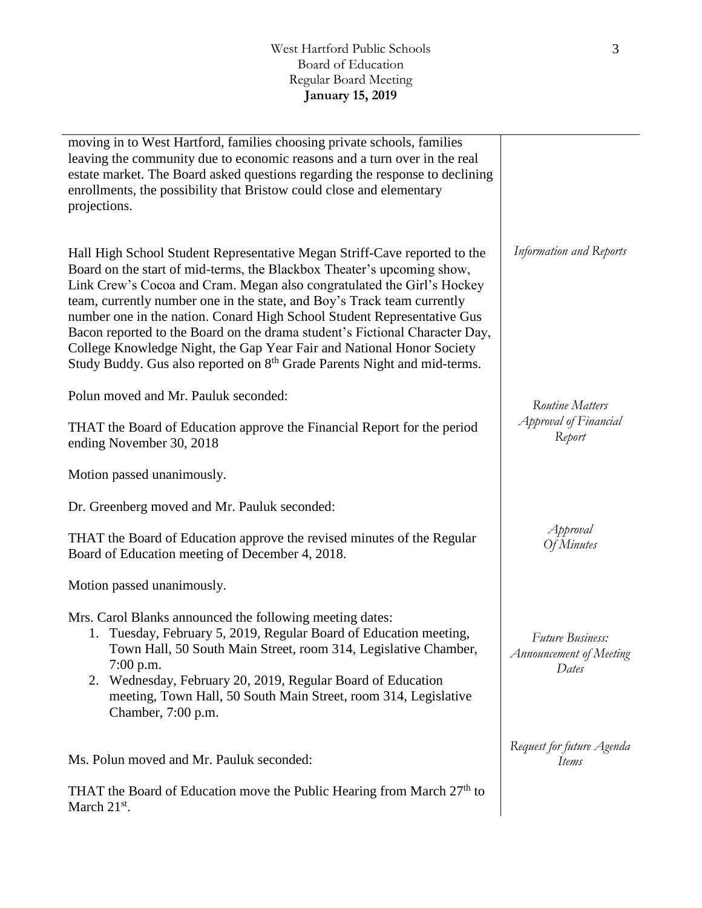| moving in to West Hartford, families choosing private schools, families<br>leaving the community due to economic reasons and a turn over in the real<br>estate market. The Board asked questions regarding the response to declining<br>enrollments, the possibility that Bristow could close and elementary<br>projections.                                                                                                                                                                                                                                                                                                        |                                                                    |
|-------------------------------------------------------------------------------------------------------------------------------------------------------------------------------------------------------------------------------------------------------------------------------------------------------------------------------------------------------------------------------------------------------------------------------------------------------------------------------------------------------------------------------------------------------------------------------------------------------------------------------------|--------------------------------------------------------------------|
| Hall High School Student Representative Megan Striff-Cave reported to the<br>Board on the start of mid-terms, the Blackbox Theater's upcoming show,<br>Link Crew's Cocoa and Cram. Megan also congratulated the Girl's Hockey<br>team, currently number one in the state, and Boy's Track team currently<br>number one in the nation. Conard High School Student Representative Gus<br>Bacon reported to the Board on the drama student's Fictional Character Day,<br>College Knowledge Night, the Gap Year Fair and National Honor Society<br>Study Buddy. Gus also reported on 8 <sup>th</sup> Grade Parents Night and mid-terms. | Information and Reports                                            |
| Polun moved and Mr. Pauluk seconded:                                                                                                                                                                                                                                                                                                                                                                                                                                                                                                                                                                                                | Routine Matters                                                    |
| THAT the Board of Education approve the Financial Report for the period<br>ending November 30, 2018                                                                                                                                                                                                                                                                                                                                                                                                                                                                                                                                 | Approval of Financial<br>Report                                    |
| Motion passed unanimously.                                                                                                                                                                                                                                                                                                                                                                                                                                                                                                                                                                                                          |                                                                    |
| Dr. Greenberg moved and Mr. Pauluk seconded:                                                                                                                                                                                                                                                                                                                                                                                                                                                                                                                                                                                        |                                                                    |
| THAT the Board of Education approve the revised minutes of the Regular<br>Board of Education meeting of December 4, 2018.                                                                                                                                                                                                                                                                                                                                                                                                                                                                                                           | Approval<br><b>Of Minutes</b>                                      |
| Motion passed unanimously.                                                                                                                                                                                                                                                                                                                                                                                                                                                                                                                                                                                                          |                                                                    |
| Mrs. Carol Blanks announced the following meeting dates:<br>1. Tuesday, February 5, 2019, Regular Board of Education meeting,<br>Town Hall, 50 South Main Street, room 314, Legislative Chamber,<br>$7:00$ p.m.<br>2. Wednesday, February 20, 2019, Regular Board of Education<br>meeting, Town Hall, 50 South Main Street, room 314, Legislative<br>Chamber, 7:00 p.m.                                                                                                                                                                                                                                                             | <b>Future Business:</b><br><b>Announcement of Meeting</b><br>Dates |
| Ms. Polun moved and Mr. Pauluk seconded:                                                                                                                                                                                                                                                                                                                                                                                                                                                                                                                                                                                            | Request for future Agenda<br>Items                                 |
| THAT the Board of Education move the Public Hearing from March 27 <sup>th</sup> to                                                                                                                                                                                                                                                                                                                                                                                                                                                                                                                                                  |                                                                    |

March  $21<sup>st</sup>$ .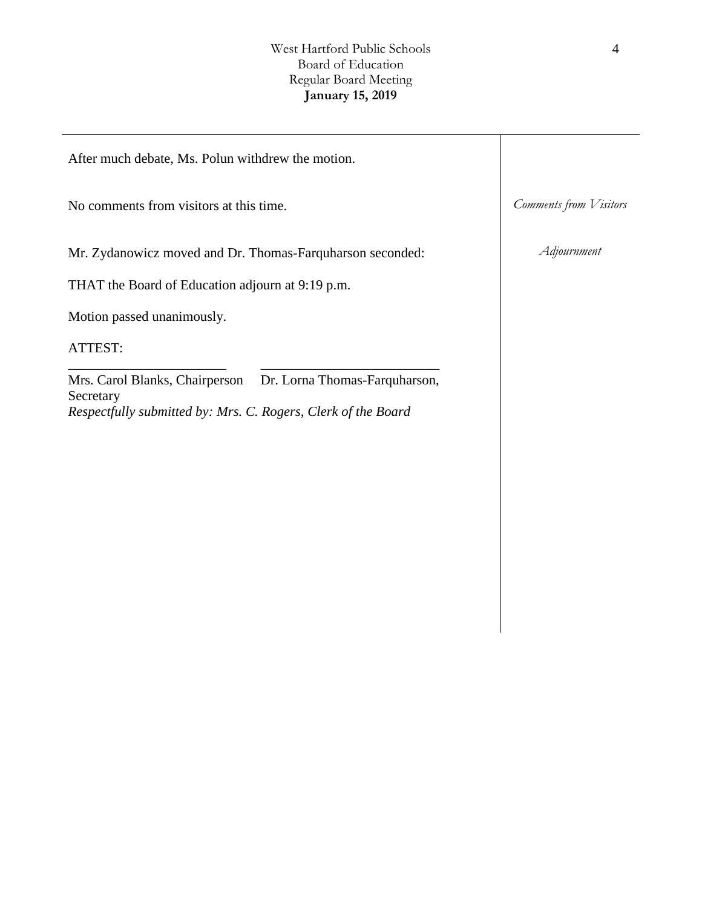## West Hartford Public Schools Board of Education Regular Board Meeting **January 15, 2019**

| After much debate, Ms. Polun with drew the motion.                                                                                            |                        |
|-----------------------------------------------------------------------------------------------------------------------------------------------|------------------------|
| No comments from visitors at this time.                                                                                                       | Comments from Visitors |
| Mr. Zydanowicz moved and Dr. Thomas-Farquharson seconded:                                                                                     | Adjournment            |
| THAT the Board of Education adjourn at 9:19 p.m.                                                                                              |                        |
| Motion passed unanimously.                                                                                                                    |                        |
| ATTEST:                                                                                                                                       |                        |
| Mrs. Carol Blanks, Chairperson<br>Dr. Lorna Thomas-Farquharson,<br>Secretary<br>Respectfully submitted by: Mrs. C. Rogers, Clerk of the Board |                        |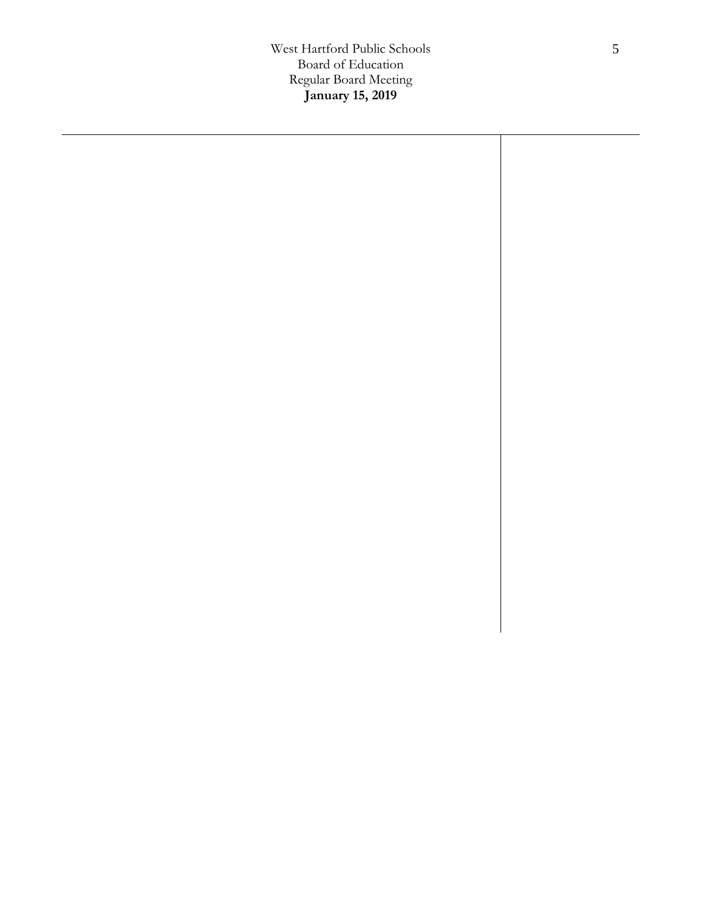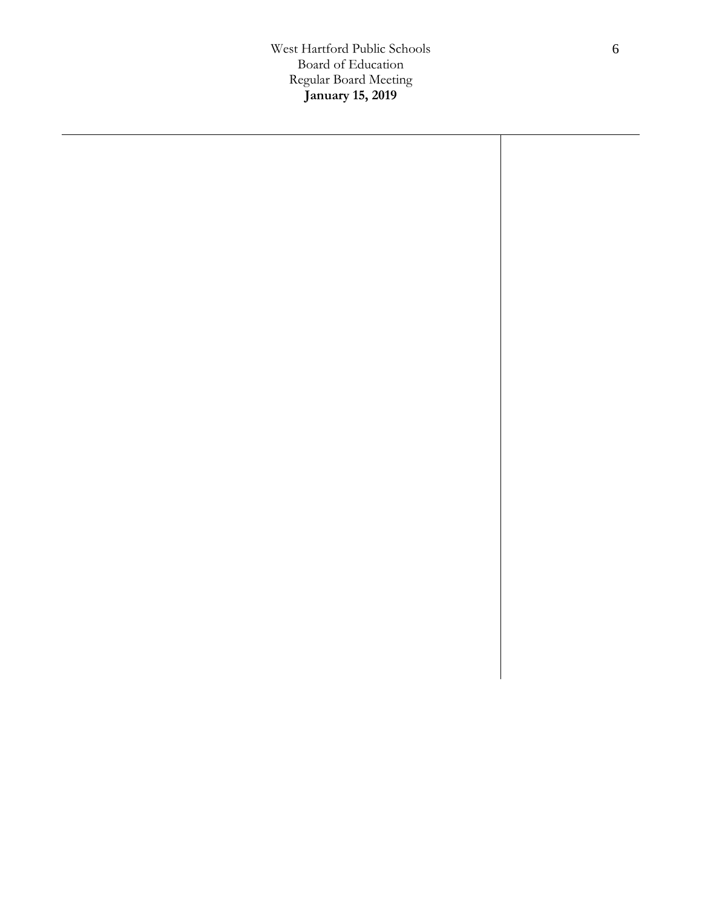